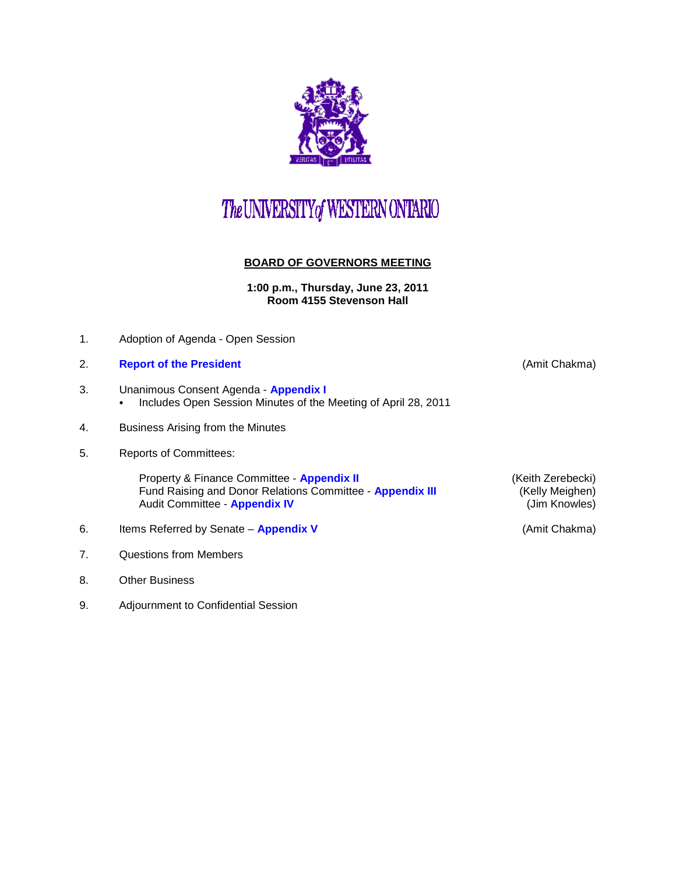

## The UNIVERSITY of WESTERN ONTARIO

## **BOARD OF GOVERNORS MEETING**

**1:00 p.m., Thursday, June 23, 2011 Room 4155 Stevenson Hall**

- 1. Adoption of Agenda Open Session
- 2. **[Report of the President](http://www.uwo.ca/univsec/board/minutes/2011/r1106_ac.pdf)** (Amit Chakma)
- 3. Unanimous Consent Agenda **[Appendix I](http://www.uwo.ca/univsec/board/minutes/2011/r1106consent.pdf)**  • Includes Open Session Minutes of the Meeting of April 28, 2011
- 4. Business Arising from the Minutes
- 5. Reports of Committees:

Property & Finance Committee - **[Appendix II](http://www.uwo.ca/univsec/board/minutes/2011/r1106pf.pdf)** (Keith Zerebecki)<br>Fund Raising and Donor Relations Committee - **Appendix III** (Kelly Meighen) Fund Raising and Donor Relations Committee - **[Appendix III](http://www.uwo.ca/univsec/board/minutes/2011/r1106frdr.pdf)** (Kelly Meighen)<br>Audit Committee - **Appendix IV** (Jim Knowles) **Audit Committee - [Appendix IV](http://www.uwo.ca/univsec/board/minutes/2011/r1106aud.pdf)** 

- 6. Items Referred by Senate **[Appendix](http://www.uwo.ca/univsec/board/minutes/2011/r1106sen.pdf) V** (Amit Chakma)
- 7. Questions from Members
- 8. Other Business
- 9. Adjournment to Confidential Session